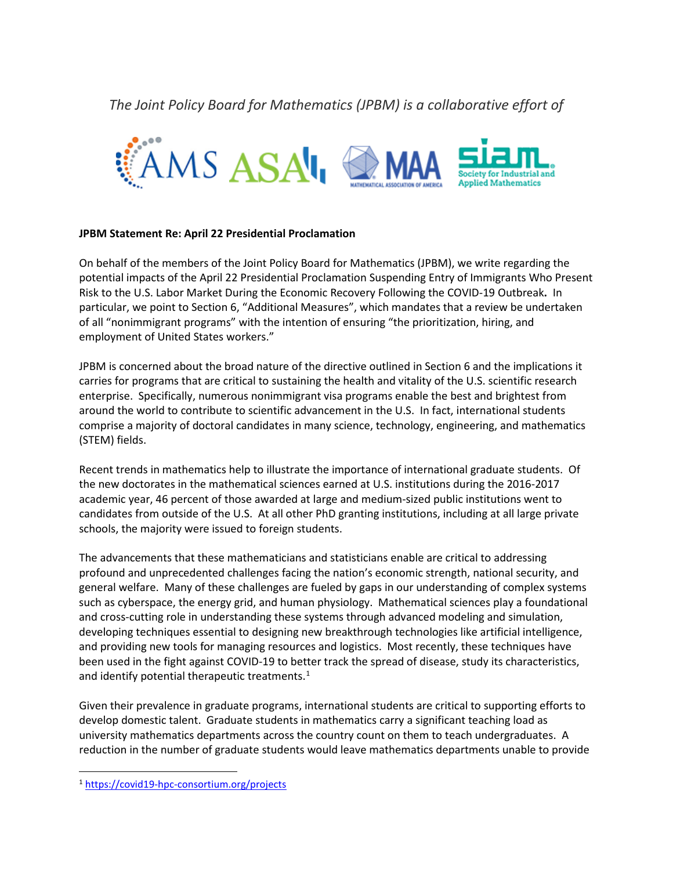*The Joint Policy Board for Mathematics (JPBM) is a collaborative effort of*



## **JPBM Statement Re: April 22 Presidential Proclamation**

On behalf of the members of the Joint Policy Board for Mathematics (JPBM), we write regarding the potential impacts of the April 22 Presidential Proclamation Suspending Entry of Immigrants Who Present Risk to the U.S. Labor Market During the Economic Recovery Following the COVID-19 Outbreak**.** In particular, we point to Section 6, "Additional Measures", which mandates that a review be undertaken of all "nonimmigrant programs" with the intention of ensuring "the prioritization, hiring, and employment of United States workers."

JPBM is concerned about the broad nature of the directive outlined in Section 6 and the implications it carries for programs that are critical to sustaining the health and vitality of the U.S. scientific research enterprise. Specifically, numerous nonimmigrant visa programs enable the best and brightest from around the world to contribute to scientific advancement in the U.S. In fact, international students comprise a majority of doctoral candidates in many science, technology, engineering, and mathematics (STEM) fields.

Recent trends in mathematics help to illustrate the importance of international graduate students. Of the new doctorates in the mathematical sciences earned at U.S. institutions during the 2016-2017 academic year, 46 percent of those awarded at large and medium-sized public institutions went to candidates from outside of the U.S. At all other PhD granting institutions, including at all large private schools, the majority were issued to foreign students.

The advancements that these mathematicians and statisticians enable are critical to addressing profound and unprecedented challenges facing the nation's economic strength, national security, and general welfare. Many of these challenges are fueled by gaps in our understanding of complex systems such as cyberspace, the energy grid, and human physiology. Mathematical sciences play a foundational and cross-cutting role in understanding these systems through advanced modeling and simulation, developing techniques essential to designing new breakthrough technologies like artificial intelligence, and providing new tools for managing resources and logistics. Most recently, these techniques have been used in the fight against COVID-19 to better track the spread of disease, study its characteristics, and identify potential therapeutic treatments.<sup>[1](#page-0-0)</sup>

Given their prevalence in graduate programs, international students are critical to supporting efforts to develop domestic talent. Graduate students in mathematics carry a significant teaching load as university mathematics departments across the country count on them to teach undergraduates. A reduction in the number of graduate students would leave mathematics departments unable to provide

<span id="page-0-0"></span> <sup>1</sup> <https://covid19-hpc-consortium.org/projects>